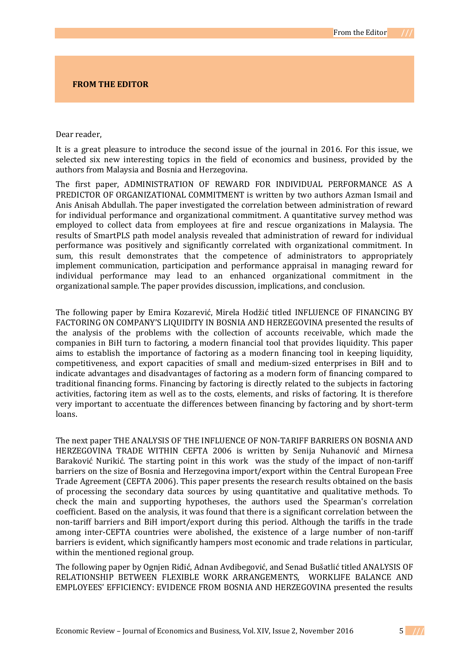## **FROM THE EDITOR**

## Dear reader,

It is a great pleasure to introduce the second issue of the journal in 2016. For this issue, we selected six new interesting topics in the field of economics and business, provided by the authors from Malaysia and Bosnia and Herzegovina.

The first paper, ADMINISTRATION OF REWARD FOR INDIVIDUAL PERFORMANCE AS A PREDICTOR OF ORGANIZATIONAL COMMITMENT is written by two authors Azman Ismail and Anis Anisah Abdullah. The paper investigated the correlation between administration of reward for individual performance and organizational commitment. A quantitative survey method was employed to collect data from employees at fire and rescue organizations in Malaysia. The results of SmartPLS path model analysis revealed that administration of reward for individual performance was positively and significantly correlated with organizational commitment. In sum, this result demonstrates that the competence of administrators to appropriately implement communication, participation and performance appraisal in managing reward for individual performance may lead to an enhanced organizational commitment in the organizational sample. The paper provides discussion, implications, and conclusion.

The following paper by Emira Kozarević, Mirela Hodžić titled INFLUENCE OF FINANCING BY FACTORING ON COMPANY'S LIQUIDITY IN BOSNIA AND HERZEGOVINA presented the results of the analysis of the problems with the collection of accounts receivable, which made the companies in BiH turn to factoring, a modern financial tool that provides liquidity. This paper aims to establish the importance of factoring as a modern financing tool in keeping liquidity, competitiveness, and export capacities of small and medium-sized enterprises in BiH and to indicate advantages and disadvantages of factoring as a modern form of financing compared to traditional financing forms. Financing by factoring is directly related to the subjects in factoring activities, factoring item as well as to the costs, elements, and risks of factoring. It is therefore very important to accentuate the differences between financing by factoring and by short-term loans.

The next paper THE ANALYSIS OF THE INFLUENCE OF NON-TARIFF BARRIERS ON BOSNIA AND HERZEGOVINA TRADE WITHIN CEFTA 2006 is written by Senija Nuhanović and Mirnesa Baraković Nurikić. The starting point in this work was the study of the impact of non-tariff barriers on the size of Bosnia and Herzegovina import/export within the Central European Free Trade Agreement (CEFTA 2006). This paper presents the research results obtained on the basis of processing the secondary data sources by using quantitative and qualitative methods. To check the main and supporting hypotheses, the authors used the Spearman's correlation coefficient. Based on the analysis, it was found that there is a significant correlation between the non-tariff barriers and BiH import/export during this period. Although the tariffs in the trade among inter-CEFTA countries were abolished, the existence of a large number of non-tariff barriers is evident, which significantly hampers most economic and trade relations in particular, within the mentioned regional group.

The following paper by Ognjen Riđić, Adnan Avdibegović, and Senad Bušatlić titled ANALYSIS OF RELATIONSHIP BETWEEN FLEXIBLE WORK ARRANGEMENTS, WORKLIFE BALANCE AND EMPLOYEES' EFFICIENCY: EVIDENCE FROM BOSNIA AND HERZEGOVINA presented the results